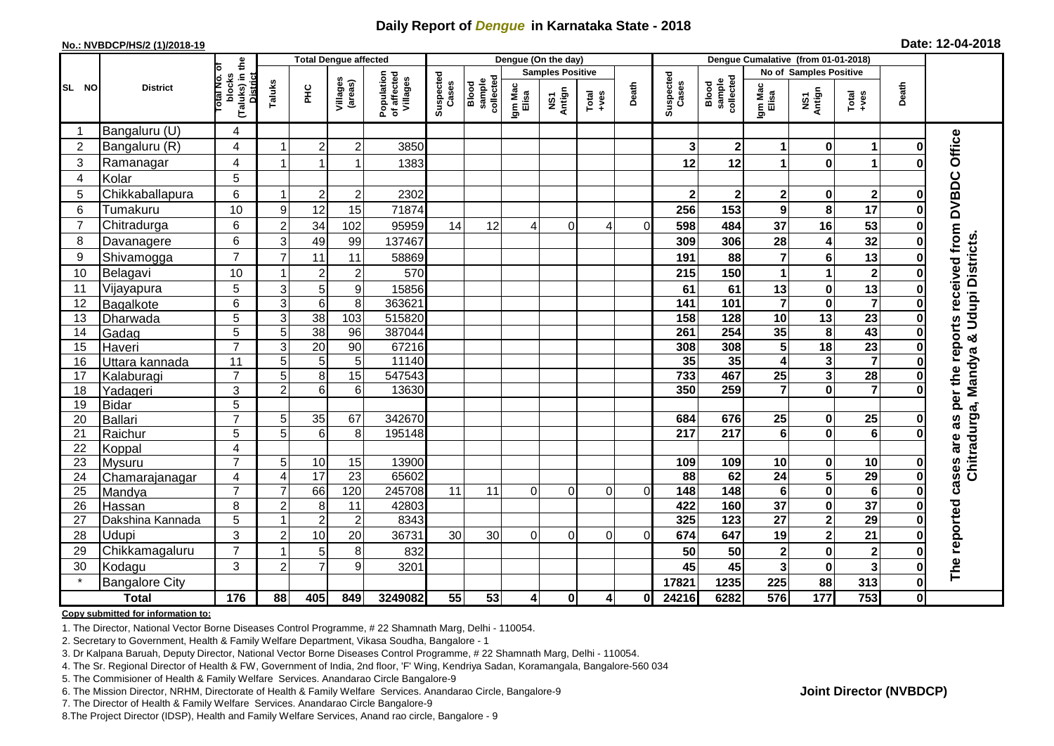## **Daily Report of** *Dengue* **in Karnataka State - 2018**

#### **No.: NVBDCP/HS/2 (1)/2018-19**

| Date: 12-04-2018 |  |  |  |  |
|------------------|--|--|--|--|
|------------------|--|--|--|--|

| <b>Total Dengue affected</b> |                       |                                                    |                           |                 |                     |                                       |                    |                             |                  | Dengue (On the day)     |                                                              |              |                    |                              |                         |                         |                         |             |                                        |
|------------------------------|-----------------------|----------------------------------------------------|---------------------------|-----------------|---------------------|---------------------------------------|--------------------|-----------------------------|------------------|-------------------------|--------------------------------------------------------------|--------------|--------------------|------------------------------|-------------------------|-------------------------|-------------------------|-------------|----------------------------------------|
|                              |                       | ō                                                  |                           |                 |                     |                                       |                    |                             |                  | <b>Samples Positive</b> |                                                              |              |                    |                              |                         | No of Samples Positive  |                         |             |                                        |
| SL NO                        | <b>District</b>       | (Taluks) in the<br>blocks<br>Total No.<br>District | Taluks                    | ΞÉ              | Villages<br>(areas) | Population<br>of affected<br>Villages | Suspected<br>Cases | Blood<br>sample<br>collecte | Igm Mac<br>Elisa | NS1<br>Antign           | $\begin{array}{c}\n\text{Total} \\ \text{true}\n\end{array}$ | Death        | Suspected<br>Cases | Blood<br>sample<br>collected | Igm Mad<br>Elisa        | NS1<br>Antign           | Total<br>+ves           | Death       |                                        |
|                              | Bangaluru (U)         | 4                                                  |                           |                 |                     |                                       |                    |                             |                  |                         |                                                              |              |                    |                              |                         |                         |                         |             |                                        |
| $\overline{2}$               | Bangaluru (R)         | $\overline{4}$                                     |                           | $\overline{2}$  | $\overline{c}$      | 3850                                  |                    |                             |                  |                         |                                                              |              | 3                  | $\boldsymbol{2}$             | 1                       | $\mathbf 0$             | 1                       |             |                                        |
| 3                            | Ramanagar             | 4                                                  |                           | -1              |                     | 1383                                  |                    |                             |                  |                         |                                                              |              | 12                 | 12                           | 1                       | $\bf{0}$                | 1                       |             | Office                                 |
| $\overline{4}$               | Kolar                 | 5                                                  |                           |                 |                     |                                       |                    |                             |                  |                         |                                                              |              |                    |                              |                         |                         |                         |             |                                        |
| 5                            | Chikkaballapura       | 6                                                  |                           | $\overline{c}$  | $\overline{c}$      | 2302                                  |                    |                             |                  |                         |                                                              |              | $\mathbf{2}$       | $\mathbf 2$                  | $\mathbf{2}$            | $\mathbf 0$             | $\mathbf 2$             |             |                                        |
| 6                            | Tumakuru              | 10                                                 | 9                         | 12              | 15                  | 71874                                 |                    |                             |                  |                         |                                                              |              | 256                | 153                          | $\mathbf{9}$            | 8                       | 17                      |             | per the reports received from DVBDC    |
| $\overline{7}$               | Chitradurga           | 6                                                  | $\overline{2}$            | 34              | 102                 | 95959                                 | 14                 | 12                          | 4                | 0                       | 4                                                            | 0            | 598                | 484                          | 37                      | 16                      | 53                      |             |                                        |
| 8                            | Davanagere            | 6                                                  | 3                         | 49              | 99                  | 137467                                |                    |                             |                  |                         |                                                              |              | 309                | 306                          | 28                      | 4                       | 32                      |             |                                        |
| 9                            | Shivamogga            | $\overline{7}$                                     | $\overline{7}$            | 11              | 11                  | 58869                                 |                    |                             |                  |                         |                                                              |              | 191                | 88                           | $\overline{7}$          | $6\phantom{1}6$         | 13                      |             | Chitradurga, Mandya & Udupi Districts. |
| 10                           | Belagavi              | 10                                                 |                           | $\overline{2}$  | $\overline{c}$      | 570                                   |                    |                             |                  |                         |                                                              |              | 215                | 150                          | 1                       | 1                       | $\mathbf{2}$            |             |                                        |
| 11                           | Vijayapura            | $\overline{5}$                                     | $\ensuremath{\mathsf{3}}$ | 5               | 9                   | 15856                                 |                    |                             |                  |                         |                                                              |              | 61                 | 61                           | 13                      | $\pmb{0}$               | 13                      |             |                                        |
| 12                           | Bagalkote             | 6                                                  | $\mathbf{3}$              | $\,6\,$         | 8                   | 363621                                |                    |                             |                  |                         |                                                              |              | 141                | 101                          | $\overline{7}$          | $\mathbf 0$             | $\overline{\mathbf{7}}$ |             |                                        |
| 13                           | Dharwada              | 5                                                  | $\mathbf{3}$              | $\overline{38}$ | 103                 | 515820                                |                    |                             |                  |                         |                                                              |              | 158                | 128                          | $\overline{10}$         | $\overline{13}$         | $\overline{23}$         |             |                                        |
| 14                           | Gadag                 | 5                                                  | 5                         | 38              | 96                  | 387044                                |                    |                             |                  |                         |                                                              |              | 261                | 254                          | 35                      | 8                       | 43                      |             |                                        |
| 15                           | Haveri                | $\overline{7}$                                     | 3                         | $\overline{20}$ | 90                  | 67216                                 |                    |                             |                  |                         |                                                              |              | 308                | 308                          | 5                       | $\overline{18}$         | $\overline{23}$         |             |                                        |
| 16                           | Uttara kannada        | 11                                                 | 5                         | 5               | 5                   | 11140                                 |                    |                             |                  |                         |                                                              |              | 35                 | 35                           | 4                       | 3                       | $\overline{7}$          |             |                                        |
| 17                           | Kalaburagi            | $\overline{7}$                                     | 5                         | 8               | $\overline{15}$     | 547543                                |                    |                             |                  |                         |                                                              |              | 733                | 467                          | $\overline{25}$         | $\overline{\mathbf{3}}$ | $\overline{28}$         |             |                                        |
| 18                           | Yadageri              | 3                                                  | $\overline{2}$            | 6               | 6                   | 13630                                 |                    |                             |                  |                         |                                                              |              | 350                | 259                          | 7                       | $\mathbf{0}$            | $\overline{7}$          |             |                                        |
| 19                           | <b>Bidar</b>          | $\overline{5}$                                     |                           |                 |                     |                                       |                    |                             |                  |                         |                                                              |              |                    |                              |                         |                         |                         |             |                                        |
| 20                           | Ballari               | $\overline{7}$                                     | 5                         | 35              | 67                  | 342670                                |                    |                             |                  |                         |                                                              |              | 684                | 676                          | 25                      | 0                       | 25                      |             | 3g                                     |
| 21                           | Raichur               | 5                                                  | 5                         | 6               | 8                   | 195148                                |                    |                             |                  |                         |                                                              |              | $\overline{217}$   | 217                          | $\overline{\mathbf{6}}$ | $\mathbf 0$             | ெ                       |             |                                        |
| 22                           | Koppal                | 4                                                  |                           |                 |                     |                                       |                    |                             |                  |                         |                                                              |              |                    |                              |                         |                         |                         |             |                                        |
| 23                           | Mysuru                | $\overline{7}$                                     | 5                         | $10$            | 15                  | 13900                                 |                    |                             |                  |                         |                                                              |              | 109                | 109                          | 10                      | $\mathbf 0$             | 10                      |             |                                        |
| 24                           | Chamarajanagar        | $\overline{4}$                                     | $\overline{4}$            | 17              | 23                  | 65602                                 |                    |                             |                  |                         |                                                              |              | 88                 | 62                           | $\overline{24}$         | $\overline{\mathbf{5}}$ | 29                      | O           | cases are                              |
| 25                           | Mandya                | $\overline{7}$                                     | $\overline{7}$            | 66              | 120                 | 245708                                | 11                 | 11                          | $\Omega$         | $\Omega$                | $\Omega$                                                     | $\Omega$     | 148                | 148                          | $\bf 6$                 | $\pmb{0}$               | $6\phantom{1}6$         |             |                                        |
| 26                           | Hassan                | 8                                                  | $\overline{2}$            | 8               | 11                  | 42803                                 |                    |                             |                  |                         |                                                              |              | 422                | 160                          | $\overline{37}$         | $\pmb{0}$               | $\overline{37}$         |             |                                        |
| 27                           | Dakshina Kannada      | 5                                                  |                           | $\overline{2}$  | $\overline{2}$      | 8343                                  |                    |                             |                  |                         |                                                              |              | 325                | $\overline{123}$             | $\overline{27}$         | $\overline{\mathbf{2}}$ | $\overline{29}$         |             |                                        |
| 28                           | Udupi                 | 3                                                  | $\overline{2}$            | 10              | 20                  | 36731                                 | 30                 | 30                          | $\Omega$         | $\Omega$                | $\Omega$                                                     | $\Omega$     | 674                | 647                          | 19                      | $\mathbf{2}$            | 21                      |             |                                        |
| 29                           | Chikkamagaluru        | $\overline{7}$                                     |                           | $\overline{5}$  | 8                   | 832                                   |                    |                             |                  |                         |                                                              |              | 50                 | 50                           | $\overline{\mathbf{2}}$ | $\mathbf 0$             | $\mathbf{2}$            |             | The reported                           |
| 30                           | Kodagu                | 3                                                  | $\overline{2}$            | $\overline{7}$  | 9                   | 3201                                  |                    |                             |                  |                         |                                                              |              | 45                 | 45                           | $\mathbf{3}$            | $\mathbf 0$             | $\mathbf{3}$            |             |                                        |
|                              | <b>Bangalore City</b> |                                                    |                           |                 |                     |                                       |                    |                             |                  |                         |                                                              |              | 17821              | 1235                         | 225                     | 88                      | 313                     | $\bf{0}$    |                                        |
|                              | <b>Total</b>          | 176                                                | 88                        | 405             | 849                 | 3249082                               | 55                 | 53                          | $\vert$          | $\mathbf{0}$            | 4                                                            | $\mathbf{0}$ | 24216              | 6282                         | 576                     | 177                     | 753                     | $\mathbf 0$ |                                        |

#### **Copy submitted for information to:**

1. The Director, National Vector Borne Diseases Control Programme, # 22 Shamnath Marg, Delhi - 110054.

2. Secretary to Government, Health & Family Welfare Department, Vikasa Soudha, Bangalore - 1

3. Dr Kalpana Baruah, Deputy Director, National Vector Borne Diseases Control Programme, # 22 Shamnath Marg, Delhi - 110054.

- 4. The Sr. Regional Director of Health & FW, Government of India, 2nd floor, 'F' Wing, Kendriya Sadan, Koramangala, Bangalore-560 034
- 5. The Commisioner of Health & Family Welfare Services. Anandarao Circle Bangalore-9
- 6. The Mission Director, NRHM, Directorate of Health & Family Welfare Services. Anandarao Circle, Bangalore-9

7. The Director of Health & Family Welfare Services. Anandarao Circle Bangalore-9

8. The Project Director (IDSP), Health and Family Welfare Services, Anand rao circle, Bangalore - 9